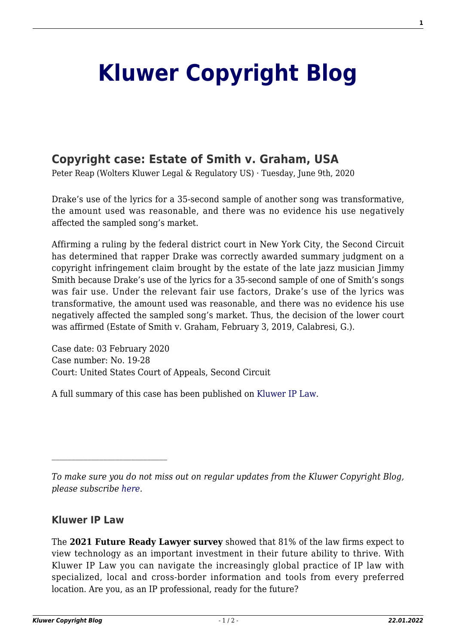## **[Kluwer Copyright Blog](http://copyrightblog.kluweriplaw.com/)**

## **[Copyright case: Estate of Smith v. Graham, USA](http://copyrightblog.kluweriplaw.com/2020/06/09/copyright-case-estate-of-smith-v-graham-usa/)**

Peter Reap (Wolters Kluwer Legal & Regulatory US) · Tuesday, June 9th, 2020

Drake's use of the lyrics for a 35-second sample of another song was transformative, the amount used was reasonable, and there was no evidence his use negatively affected the sampled song's market.

Affirming a ruling by the federal district court in New York City, the Second Circuit has determined that rapper Drake was correctly awarded summary judgment on a copyright infringement claim brought by the estate of the late jazz musician Jimmy Smith because Drake's use of the lyrics for a 35-second sample of one of Smith's songs was fair use. Under the relevant fair use factors, Drake's use of the lyrics was transformative, the amount used was reasonable, and there was no evidence his use negatively affected the sampled song's market. Thus, the decision of the lower court was affirmed (Estate of Smith v. Graham, February 3, 2019, Calabresi, G.).

Case date: 03 February 2020 Case number: No. 19-28 Court: United States Court of Appeals, Second Circuit

A full summary of this case has been published on [Kluwer IP Law.](http://www.kluweriplaw.com/document/KLI-KTCL-ONS-20-7-002)

*To make sure you do not miss out on regular updates from the Kluwer Copyright Blog, please subscribe [here.](http://copyrightblog.kluweriplaw.com/newsletter)*

## **Kluwer IP Law**

The **2021 Future Ready Lawyer survey** showed that 81% of the law firms expect to view technology as an important investment in their future ability to thrive. With Kluwer IP Law you can navigate the increasingly global practice of IP law with specialized, local and cross-border information and tools from every preferred location. Are you, as an IP professional, ready for the future?